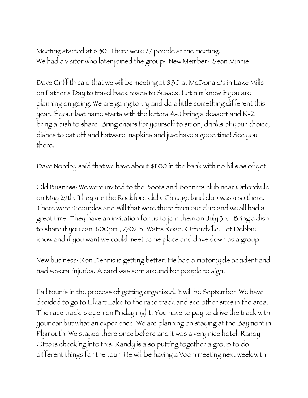Meeting started at 6:30 There were 27 people at the meeting. We had a visitor who later joined the group: New Member: Sean Minnie

Dave Griffith said that we will be meeting at 8:30 at McDonald's in Lake Mills on Father's Day to travel back roads to Sussex. Let him know if you are planning on going. We are going to try and do a little something different this year. If your last name starts with the letters A-J bring a dessert and K-Z bring a dish to share. Bring chairs for yourself to sit on, drinks of your choice, dishes to eat off and flatware, napkins and just have a good time! See you there.

Dave Nordby said that we have about \$1100 in the bank with no bills as of yet.

Old Busness: We were invited to the Boots and Bonnets club near Orfordville on May 29th. They are the Rockford club. Chicago land club was also there. There were 4 couples and Will that were there from our club and we all had a great time. They have an invitation for us to join them on July 3rd. Bring a dish to share if you can. 1:00pm., 2702 S. Watts Road, Orfordville. Let Debbie know and if you want we could meet some place and drive down as a group.

New business: Ron Dennis is getting better. He had a motorcycle accident and had several injuries. A card was sent around for people to sign.

Fall tour is in the process of getting organized. It will be September We have decided to go to Elkart Lake to the race track and see other sites in the area. The race track is open on Friday night. You have to pay to drive the track with your car but what an experience. We are planning on staying at the Baymont in Plymouth. We stayed there once before and it was a very nice hotel. Randy Otto is checking into this. Randy is also putting together a group to do different things for the tour. He will be having a Voom meeting next week with